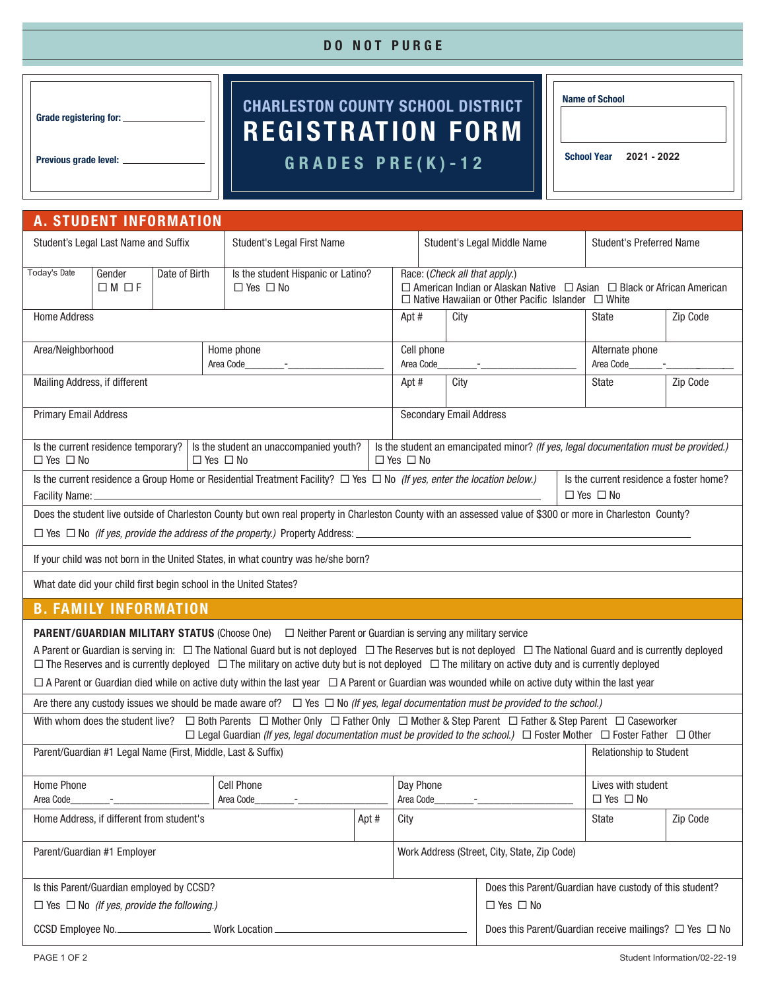## **DO NOT PURGE**

**Grade registering for:**

# **CHARLESTON COUNTY SCHOOL DISTRICT REGISTRATION FORM**

**GRADES PRE(K)-12 Previous grade level:**

**Name of School**

**School Year 2021 - 2022**

|                                                                                                                                                                                                                                                                                                                                        | <b>A. STUDENT INFORMATION</b>                |               |                                                                                                                                                             |                                              |                                                                                                                                                                                          |                                                                                                                                                                                                      |                                                                                      |       |                                            |          |
|----------------------------------------------------------------------------------------------------------------------------------------------------------------------------------------------------------------------------------------------------------------------------------------------------------------------------------------|----------------------------------------------|---------------|-------------------------------------------------------------------------------------------------------------------------------------------------------------|----------------------------------------------|------------------------------------------------------------------------------------------------------------------------------------------------------------------------------------------|------------------------------------------------------------------------------------------------------------------------------------------------------------------------------------------------------|--------------------------------------------------------------------------------------|-------|--------------------------------------------|----------|
| Student's Legal Last Name and Suffix<br>Student's Legal First Name                                                                                                                                                                                                                                                                     |                                              |               |                                                                                                                                                             | Student's Legal Middle Name                  |                                                                                                                                                                                          |                                                                                                                                                                                                      | <b>Student's Preferred Name</b>                                                      |       |                                            |          |
| Today's Date                                                                                                                                                                                                                                                                                                                           | Gender<br>$\Box M \Box F$                    | Date of Birth | Is the student Hispanic or Latino?<br>$\Box$ Yes $\Box$ No                                                                                                  |                                              | Race: (Check all that apply.)<br>$\Box$ American Indian or Alaskan Native $\Box$ Asian $\Box$ Black or African American<br>$\Box$ Native Hawaiian or Other Pacific Islander $\Box$ White |                                                                                                                                                                                                      |                                                                                      |       |                                            |          |
| <b>Home Address</b>                                                                                                                                                                                                                                                                                                                    |                                              |               |                                                                                                                                                             |                                              | Apt #                                                                                                                                                                                    | City                                                                                                                                                                                                 |                                                                                      |       | State                                      | Zip Code |
|                                                                                                                                                                                                                                                                                                                                        | Area/Neighborhood<br>Home phone<br>Area Code |               |                                                                                                                                                             |                                              | Cell phone<br>Alternate phone<br>Area Code<br>Area Code                                                                                                                                  |                                                                                                                                                                                                      |                                                                                      |       |                                            |          |
| Mailing Address, if different                                                                                                                                                                                                                                                                                                          |                                              |               |                                                                                                                                                             |                                              | Apt #                                                                                                                                                                                    | City                                                                                                                                                                                                 |                                                                                      |       | State                                      | Zip Code |
| <b>Primary Email Address</b>                                                                                                                                                                                                                                                                                                           |                                              |               |                                                                                                                                                             |                                              | <b>Secondary Email Address</b>                                                                                                                                                           |                                                                                                                                                                                                      |                                                                                      |       |                                            |          |
| $\Box$ Yes $\Box$ No                                                                                                                                                                                                                                                                                                                   | Is the current residence temporary?          |               | Is the student an unaccompanied youth?<br>$\Box$ Yes $\Box$ No                                                                                              |                                              | $\Box$ Yes $\Box$ No                                                                                                                                                                     |                                                                                                                                                                                                      | Is the student an emancipated minor? (If yes, legal documentation must be provided.) |       |                                            |          |
| Facility Name:                                                                                                                                                                                                                                                                                                                         |                                              |               |                                                                                                                                                             |                                              |                                                                                                                                                                                          | Is the current residence a Group Home or Residential Treatment Facility? $\Box$ Yes $\Box$ No (If yes, enter the location below.)<br>Is the current residence a foster home?<br>$\Box$ Yes $\Box$ No |                                                                                      |       |                                            |          |
|                                                                                                                                                                                                                                                                                                                                        |                                              |               | Does the student live outside of Charleston County but own real property in Charleston County with an assessed value of \$300 or more in Charleston County? |                                              |                                                                                                                                                                                          |                                                                                                                                                                                                      |                                                                                      |       |                                            |          |
| $\Box$ Yes $\Box$ No (If yes, provide the address of the property.) Property Address:                                                                                                                                                                                                                                                  |                                              |               |                                                                                                                                                             |                                              |                                                                                                                                                                                          |                                                                                                                                                                                                      |                                                                                      |       |                                            |          |
| If your child was not born in the United States, in what country was he/she born?                                                                                                                                                                                                                                                      |                                              |               |                                                                                                                                                             |                                              |                                                                                                                                                                                          |                                                                                                                                                                                                      |                                                                                      |       |                                            |          |
|                                                                                                                                                                                                                                                                                                                                        |                                              |               | What date did your child first begin school in the United States?                                                                                           |                                              |                                                                                                                                                                                          |                                                                                                                                                                                                      |                                                                                      |       |                                            |          |
| <b>B. FAMILY INFORMATION</b>                                                                                                                                                                                                                                                                                                           |                                              |               |                                                                                                                                                             |                                              |                                                                                                                                                                                          |                                                                                                                                                                                                      |                                                                                      |       |                                            |          |
| <b>PARENT/GUARDIAN MILITARY STATUS</b> (Choose One) □ Neither Parent or Guardian is serving any military service                                                                                                                                                                                                                       |                                              |               |                                                                                                                                                             |                                              |                                                                                                                                                                                          |                                                                                                                                                                                                      |                                                                                      |       |                                            |          |
| A Parent or Guardian is serving in:  □ The National Guard but is not deployed  □ The Reserves but is not deployed  □ The National Guard and is currently deployed<br>$\Box$ The Reserves and is currently deployed $\Box$ The military on active duty but is not deployed $\Box$ The military on active duty and is currently deployed |                                              |               |                                                                                                                                                             |                                              |                                                                                                                                                                                          |                                                                                                                                                                                                      |                                                                                      |       |                                            |          |
| $\Box$ A Parent or Guardian died while on active duty within the last year $\Box$ A Parent or Guardian was wounded while on active duty within the last year                                                                                                                                                                           |                                              |               |                                                                                                                                                             |                                              |                                                                                                                                                                                          |                                                                                                                                                                                                      |                                                                                      |       |                                            |          |
| Are there any custody issues we should be made aware of? $\Box$ Yes $\Box$ No (If yes, legal documentation must be provided to the school.)                                                                                                                                                                                            |                                              |               |                                                                                                                                                             |                                              |                                                                                                                                                                                          |                                                                                                                                                                                                      |                                                                                      |       |                                            |          |
| With whom does the student live?  □ Both Parents □ Mother Only □ Father Only □ Mother & Step Parent □ Father & Step Parent □ Caseworker<br>$\Box$ Legal Guardian (If yes, legal documentation must be provided to the school.) $\Box$ Foster Mother $\Box$ Foster Father $\Box$ Other                                                  |                                              |               |                                                                                                                                                             |                                              |                                                                                                                                                                                          |                                                                                                                                                                                                      |                                                                                      |       |                                            |          |
| Parent/Guardian #1 Legal Name (First, Middle, Last & Suffix)                                                                                                                                                                                                                                                                           |                                              |               |                                                                                                                                                             |                                              |                                                                                                                                                                                          |                                                                                                                                                                                                      |                                                                                      |       | <b>Relationship to Student</b>             |          |
| Home Phone<br>Area Code                                                                                                                                                                                                                                                                                                                |                                              |               | <b>Cell Phone</b><br>Area Code                                                                                                                              |                                              | Day Phone<br>Area Code                                                                                                                                                                   |                                                                                                                                                                                                      |                                                                                      |       | Lives with student<br>$\Box$ Yes $\Box$ No |          |
|                                                                                                                                                                                                                                                                                                                                        | Home Address, if different from student's    |               |                                                                                                                                                             | Apt #                                        | City                                                                                                                                                                                     |                                                                                                                                                                                                      |                                                                                      | State | Zip Code                                   |          |
| Parent/Guardian #1 Employer                                                                                                                                                                                                                                                                                                            |                                              |               |                                                                                                                                                             | Work Address (Street, City, State, Zip Code) |                                                                                                                                                                                          |                                                                                                                                                                                                      |                                                                                      |       |                                            |          |
| Is this Parent/Guardian employed by CCSD?<br>$\Box$ Yes $\Box$ No (If yes, provide the following.)                                                                                                                                                                                                                                     |                                              |               |                                                                                                                                                             |                                              | Does this Parent/Guardian have custody of this student?<br>$\Box$ Yes $\Box$ No                                                                                                          |                                                                                                                                                                                                      |                                                                                      |       |                                            |          |
| CCSD Employee No. _______________________ Work Location _                                                                                                                                                                                                                                                                              |                                              |               |                                                                                                                                                             |                                              | Does this Parent/Guardian receive mailings? $\Box$ Yes $\Box$ No                                                                                                                         |                                                                                                                                                                                                      |                                                                                      |       |                                            |          |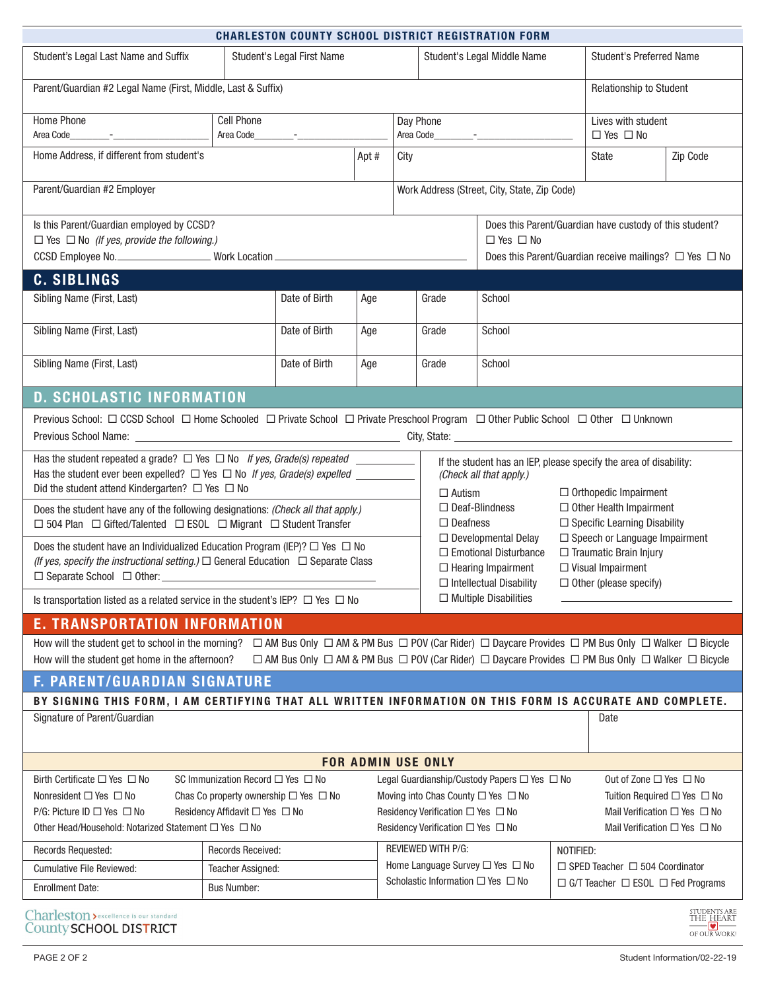| <b>CHARLESTON COUNTY SCHOOL DISTRICT REGISTRATION FORM</b>                                                                                                                                                                                                                                                                                                                         |  |               |                                                                                                   |                                                                                       |                                                                                                                                                                                                                                                                 |                                                                                                                                                     |                                                         |                                                                       |  |  |
|------------------------------------------------------------------------------------------------------------------------------------------------------------------------------------------------------------------------------------------------------------------------------------------------------------------------------------------------------------------------------------|--|---------------|---------------------------------------------------------------------------------------------------|---------------------------------------------------------------------------------------|-----------------------------------------------------------------------------------------------------------------------------------------------------------------------------------------------------------------------------------------------------------------|-----------------------------------------------------------------------------------------------------------------------------------------------------|---------------------------------------------------------|-----------------------------------------------------------------------|--|--|
| Student's Legal Last Name and Suffix<br>Student's Legal First Name                                                                                                                                                                                                                                                                                                                 |  |               |                                                                                                   |                                                                                       | Student's Legal Middle Name                                                                                                                                                                                                                                     |                                                                                                                                                     |                                                         | <b>Student's Preferred Name</b>                                       |  |  |
| Parent/Guardian #2 Legal Name (First, Middle, Last & Suffix)<br>Relationship to Student                                                                                                                                                                                                                                                                                            |  |               |                                                                                                   |                                                                                       |                                                                                                                                                                                                                                                                 |                                                                                                                                                     |                                                         |                                                                       |  |  |
| <b>Cell Phone</b><br>Home Phone<br>Area Code<br>Area Code<br>the company of the company of the                                                                                                                                                                                                                                                                                     |  |               |                                                                                                   |                                                                                       | Day Phone<br>Area Code Party Services Area Code                                                                                                                                                                                                                 |                                                                                                                                                     |                                                         | Lives with student<br>$\Box$ Yes $\Box$ No                            |  |  |
| Home Address, if different from student's                                                                                                                                                                                                                                                                                                                                          |  |               | Apt #                                                                                             | City                                                                                  | Zip Code<br>State                                                                                                                                                                                                                                               |                                                                                                                                                     |                                                         |                                                                       |  |  |
| Parent/Guardian #2 Employer                                                                                                                                                                                                                                                                                                                                                        |  |               |                                                                                                   |                                                                                       |                                                                                                                                                                                                                                                                 | Work Address (Street, City, State, Zip Code)                                                                                                        |                                                         |                                                                       |  |  |
| Is this Parent/Guardian employed by CCSD?<br>$\Box$ Yes $\Box$ No (If yes, provide the following.)<br>CCSD Employee No. ________________________ Work Location _______________________                                                                                                                                                                                             |  |               |                                                                                                   |                                                                                       |                                                                                                                                                                                                                                                                 | Does this Parent/Guardian have custody of this student?<br>$\Box$ Yes $\Box$ No<br>Does this Parent/Guardian receive mailings? $\Box$ Yes $\Box$ No |                                                         |                                                                       |  |  |
| <b>C. SIBLINGS</b>                                                                                                                                                                                                                                                                                                                                                                 |  |               |                                                                                                   |                                                                                       |                                                                                                                                                                                                                                                                 |                                                                                                                                                     |                                                         |                                                                       |  |  |
| Sibling Name (First, Last)                                                                                                                                                                                                                                                                                                                                                         |  | Date of Birth | Age                                                                                               |                                                                                       | Grade                                                                                                                                                                                                                                                           | School                                                                                                                                              |                                                         |                                                                       |  |  |
| Sibling Name (First, Last)                                                                                                                                                                                                                                                                                                                                                         |  | Date of Birth | Age                                                                                               |                                                                                       | Grade                                                                                                                                                                                                                                                           | School                                                                                                                                              |                                                         |                                                                       |  |  |
| Sibling Name (First, Last)                                                                                                                                                                                                                                                                                                                                                         |  | Date of Birth | Age                                                                                               |                                                                                       | Grade                                                                                                                                                                                                                                                           | School                                                                                                                                              |                                                         |                                                                       |  |  |
| <b>D. SCHOLASTIC INFORMATION</b>                                                                                                                                                                                                                                                                                                                                                   |  |               |                                                                                                   |                                                                                       |                                                                                                                                                                                                                                                                 |                                                                                                                                                     |                                                         |                                                                       |  |  |
| Previous School: □ CCSD School □ Home Schooled □ Private School □ Private Preschool Program □ Other Public School □ Other □ Unknown<br>Previous School Name: 2008 Contract and Contract and Contract and Contract and City, State: 2008 City, State: 2008 City, State: 2008 City, State: 2008 City, State: 2008 City, State: 2008 City, State: 2008 City, State: 2008              |  |               |                                                                                                   |                                                                                       |                                                                                                                                                                                                                                                                 |                                                                                                                                                     |                                                         |                                                                       |  |  |
| If the student has an IEP, please specify the area of disability:<br>(Check all that apply.)<br>Did the student attend Kindergarten? $\Box$ Yes $\Box$ No<br>$\Box$ Autism<br>$\Box$ Orthopedic Impairment                                                                                                                                                                         |  |               |                                                                                                   |                                                                                       |                                                                                                                                                                                                                                                                 |                                                                                                                                                     |                                                         |                                                                       |  |  |
| Does the student have any of the following designations: (Check all that apply.)<br>$\Box$ 504 Plan $\Box$ Gifted/Talented $\Box$ ESOL $\Box$ Migrant $\Box$ Student Transfer                                                                                                                                                                                                      |  |               |                                                                                                   |                                                                                       | $\Box$ Deafness                                                                                                                                                                                                                                                 | $\Box$ Deaf-Blindness                                                                                                                               |                                                         | $\Box$ Other Health Impairment<br>$\Box$ Specific Learning Disability |  |  |
| Does the student have an Individualized Education Program (IEP)? $\Box$ Yes $\Box$ No<br>(If yes, specify the instructional setting.) $\Box$ General Education $\Box$ Separate Class                                                                                                                                                                                               |  |               |                                                                                                   |                                                                                       | $\Box$ Speech or Language Impairment<br>$\Box$ Developmental Delay<br>$\Box$ Traumatic Brain Injury<br>$\Box$ Emotional Disturbance<br>$\Box$ Visual Impairment<br>$\Box$ Hearing Impairment<br>$\Box$ Other (please specify)<br>$\Box$ Intellectual Disability |                                                                                                                                                     |                                                         |                                                                       |  |  |
| $\Box$ Multiple Disabilities<br>Is transportation listed as a related service in the student's IEP? $\Box$ Yes $\Box$ No                                                                                                                                                                                                                                                           |  |               |                                                                                                   |                                                                                       |                                                                                                                                                                                                                                                                 |                                                                                                                                                     |                                                         |                                                                       |  |  |
| <b>E. TRANSPORTATION INFORMATION</b>                                                                                                                                                                                                                                                                                                                                               |  |               |                                                                                                   |                                                                                       |                                                                                                                                                                                                                                                                 |                                                                                                                                                     |                                                         |                                                                       |  |  |
| How will the student get to school in the morning? $\Box$ AM Bus Only $\Box$ AM & PM Bus $\Box$ POV (Car Rider) $\Box$ Daycare Provides $\Box$ PM Bus Only $\Box$ Walker $\Box$ Bicycle<br>How will the student get home in the afternoon?<br>$\Box$ AM Bus Only $\Box$ AM & PM Bus $\Box$ POV (Car Rider) $\Box$ Daycare Provides $\Box$ PM Bus Only $\Box$ Walker $\Box$ Bicycle |  |               |                                                                                                   |                                                                                       |                                                                                                                                                                                                                                                                 |                                                                                                                                                     |                                                         |                                                                       |  |  |
| <b>F. PARENT/GUARDIAN SIGNATURE</b>                                                                                                                                                                                                                                                                                                                                                |  |               |                                                                                                   |                                                                                       |                                                                                                                                                                                                                                                                 |                                                                                                                                                     |                                                         |                                                                       |  |  |
| BY SIGNING THIS FORM, I AM CERTIFYING THAT ALL WRITTEN INFORMATION ON THIS FORM IS ACCURATE AND COMPLETE.                                                                                                                                                                                                                                                                          |  |               |                                                                                                   |                                                                                       |                                                                                                                                                                                                                                                                 |                                                                                                                                                     |                                                         |                                                                       |  |  |
| Signature of Parent/Guardian<br>Date                                                                                                                                                                                                                                                                                                                                               |  |               |                                                                                                   |                                                                                       |                                                                                                                                                                                                                                                                 |                                                                                                                                                     |                                                         |                                                                       |  |  |
| <b>FOR ADMIN USE ONLY</b>                                                                                                                                                                                                                                                                                                                                                          |  |               |                                                                                                   |                                                                                       |                                                                                                                                                                                                                                                                 |                                                                                                                                                     |                                                         |                                                                       |  |  |
| Birth Certificate $\Box$ Yes $\Box$ No<br>SC Immunization Record $\Box$ Yes $\Box$ No<br>Legal Guardianship/Custody Papers $\Box$ Yes $\Box$ No<br>Out of Zone $\Box$ Yes $\Box$ No                                                                                                                                                                                                |  |               |                                                                                                   |                                                                                       |                                                                                                                                                                                                                                                                 |                                                                                                                                                     |                                                         |                                                                       |  |  |
| Nonresident $\Box$ Yes $\Box$ No<br>Chas Co property ownership $\Box$ Yes $\Box$ No                                                                                                                                                                                                                                                                                                |  |               |                                                                                                   | Moving into Chas County $\Box$ Yes $\Box$ No<br>Tuition Required $\Box$ Yes $\Box$ No |                                                                                                                                                                                                                                                                 |                                                                                                                                                     |                                                         |                                                                       |  |  |
| $P/G$ : Picture ID $\Box$ Yes $\Box$ No<br>Residency Affidavit $\Box$ Yes $\Box$ No<br>Residency Verification $\Box$ Yes $\Box$ No<br>Mail Verification $\Box$ Yes $\Box$ No<br>Other Head/Household: Notarized Statement □ Yes □ No<br>Residency Verification $\Box$ Yes $\Box$ No<br>Mail Verification $\Box$ Yes $\Box$ No                                                      |  |               |                                                                                                   |                                                                                       |                                                                                                                                                                                                                                                                 |                                                                                                                                                     |                                                         |                                                                       |  |  |
| REVIEWED WITH P/G:                                                                                                                                                                                                                                                                                                                                                                 |  |               |                                                                                                   |                                                                                       |                                                                                                                                                                                                                                                                 |                                                                                                                                                     |                                                         |                                                                       |  |  |
| Records Requested:<br><b>Records Received:</b><br><b>Cumulative File Reviewed:</b><br>Teacher Assigned:                                                                                                                                                                                                                                                                            |  |               |                                                                                                   |                                                                                       |                                                                                                                                                                                                                                                                 | Home Language Survey □ Yes □ No                                                                                                                     | NOTIFIED:<br>$\Box$ SPED Teacher $\Box$ 504 Coordinator |                                                                       |  |  |
| <b>Enrollment Date:</b>                                                                                                                                                                                                                                                                                                                                                            |  |               | Scholastic Information $\Box$ Yes $\Box$ No<br>$\Box$ G/T Teacher $\Box$ ESOL $\Box$ Fed Programs |                                                                                       |                                                                                                                                                                                                                                                                 |                                                                                                                                                     |                                                         |                                                                       |  |  |
| <b>Bus Number:</b>                                                                                                                                                                                                                                                                                                                                                                 |  |               |                                                                                                   |                                                                                       |                                                                                                                                                                                                                                                                 |                                                                                                                                                     |                                                         |                                                                       |  |  |
| STUDENTS ARE<br>THE HEART<br>OF OUR WORK!<br>Charleston > excellence is our standard<br>County SCHOOL DISTRICT                                                                                                                                                                                                                                                                     |  |               |                                                                                                   |                                                                                       |                                                                                                                                                                                                                                                                 |                                                                                                                                                     |                                                         |                                                                       |  |  |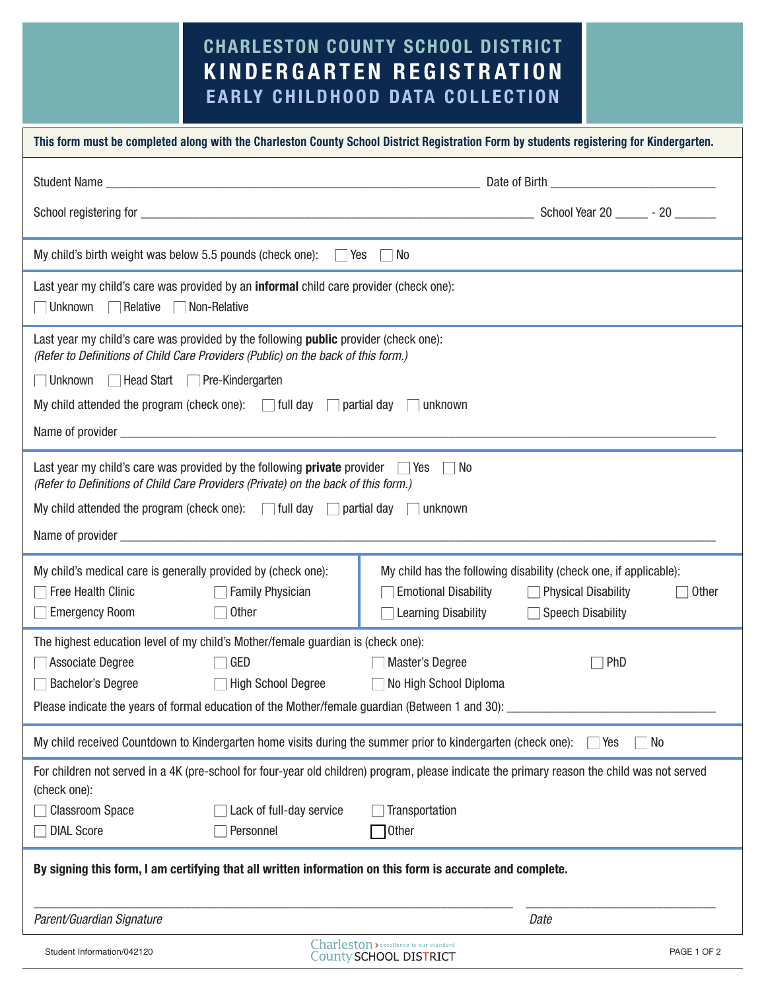# **CHARLESTON COUNTY SCHOOL DISTRICT KINDERGARTEN REGISTRATION EARLY CHILDHOOD DATA COLLECTION**

| This form must be completed along with the Charleston County School District Registration Form by students registering for Kindergarten.                                                                                                                                                                                         |                          |                                                                          |             |  |  |  |  |
|----------------------------------------------------------------------------------------------------------------------------------------------------------------------------------------------------------------------------------------------------------------------------------------------------------------------------------|--------------------------|--------------------------------------------------------------------------|-------------|--|--|--|--|
|                                                                                                                                                                                                                                                                                                                                  |                          |                                                                          |             |  |  |  |  |
|                                                                                                                                                                                                                                                                                                                                  |                          |                                                                          |             |  |  |  |  |
| My child's birth weight was below 5.5 pounds (check one): $\Box$ Yes                                                                                                                                                                                                                                                             |                          |                                                                          |             |  |  |  |  |
|                                                                                                                                                                                                                                                                                                                                  |                          | No                                                                       |             |  |  |  |  |
| Last year my child's care was provided by an informal child care provider (check one):<br>□ Unknown □ Relative □ Non-Relative                                                                                                                                                                                                    |                          |                                                                          |             |  |  |  |  |
| Last year my child's care was provided by the following <b>public</b> provider (check one):<br>(Refer to Definitions of Child Care Providers (Public) on the back of this form.)                                                                                                                                                 |                          |                                                                          |             |  |  |  |  |
| □ Unknown □ Head Start □ Pre-Kindergarten                                                                                                                                                                                                                                                                                        |                          |                                                                          |             |  |  |  |  |
| My child attended the program (check one): $\Box$ full day $\Box$ partial day $\Box$ unknown                                                                                                                                                                                                                                     |                          |                                                                          |             |  |  |  |  |
|                                                                                                                                                                                                                                                                                                                                  |                          |                                                                          |             |  |  |  |  |
| Last year my child's care was provided by the following <b>private</b> provider $\vert$   Yes     No<br>(Refer to Definitions of Child Care Providers (Private) on the back of this form.)<br>My child attended the program (check one): $\Box$ full day $\Box$ partial day $\Box$ unknown                                       |                          |                                                                          |             |  |  |  |  |
|                                                                                                                                                                                                                                                                                                                                  |                          |                                                                          |             |  |  |  |  |
| My child's medical care is generally provided by (check one):<br>My child has the following disability (check one, if applicable):<br>Free Health Clinic<br>Family Physician<br><b>Emotional Disability</b><br>Other<br>$\Box$ Physical Disability<br>Learning Disability<br>Speech Disability<br><b>Emergency Room</b><br>Other |                          |                                                                          |             |  |  |  |  |
| The highest education level of my child's Mother/female guardian is (check one):                                                                                                                                                                                                                                                 |                          |                                                                          |             |  |  |  |  |
| <b>Associate Degree</b>                                                                                                                                                                                                                                                                                                          | PhD                      |                                                                          |             |  |  |  |  |
| <b>Bachelor's Degree</b><br>No High School Diploma<br><b>High School Degree</b>                                                                                                                                                                                                                                                  |                          |                                                                          |             |  |  |  |  |
| Please indicate the years of formal education of the Mother/female guardian (Between 1 and 30):                                                                                                                                                                                                                                  |                          |                                                                          |             |  |  |  |  |
| My child received Countdown to Kindergarten home visits during the summer prior to kindergarten (check one):<br>⊺ No<br>$\neg$ Yes                                                                                                                                                                                               |                          |                                                                          |             |  |  |  |  |
| For children not served in a 4K (pre-school for four-year old children) program, please indicate the primary reason the child was not served<br>(check one):                                                                                                                                                                     |                          |                                                                          |             |  |  |  |  |
| <b>Classroom Space</b>                                                                                                                                                                                                                                                                                                           | Lack of full-day service | Transportation                                                           |             |  |  |  |  |
| <b>DIAL Score</b>                                                                                                                                                                                                                                                                                                                | Personnel                | <b>Other</b>                                                             |             |  |  |  |  |
| By signing this form, I am certifying that all written information on this form is accurate and complete.                                                                                                                                                                                                                        |                          |                                                                          |             |  |  |  |  |
| Parent/Guardian Signature                                                                                                                                                                                                                                                                                                        |                          |                                                                          | Date        |  |  |  |  |
| Student Information/042120                                                                                                                                                                                                                                                                                                       |                          | Charleston > excellence is our standard<br><b>County SCHOOL DISTRICT</b> | PAGE 1 OF 2 |  |  |  |  |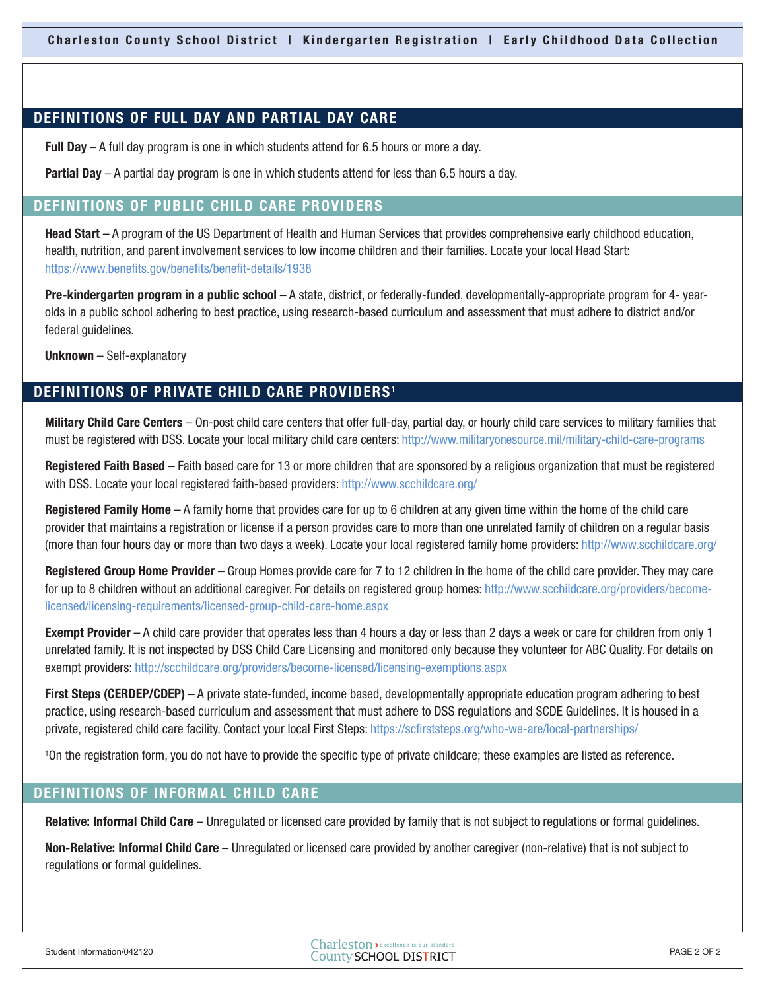**Charleston County School District | Kindergarten Registration | Early Childhood Data Collection** 

# **DEFINITIONS OF FULL DAY AND PARTIAL DAY CARE**

**Full Day** – A full day program is one in which students attend for 6.5 hours or more a day.

**Partial Day** – A partial day program is one in which students attend for less than 6.5 hours a day.

## **DEFINITIONS OF PUBLIC CHILD CARE PROVIDERS**

**Head Start** – A program of the US Department of Health and Human Services that provides comprehensive early childhood education, health, nutrition, and parent involvement services to low income children and their families. Locate your local Head Start: https://www.benefits.gov/benefits/benefit-details/1938

**Pre-kindergarten program in a public school** – A state, district, or federally-funded, developmentally-appropriate program for 4- yearolds in a public school adhering to best practice, using research-based curriculum and assessment that must adhere to district and/or federal guidelines.

**Unknown** – Self-explanatory

# **DEFINITIONS OF PRIVATE CHILD CARE PROVIDERS1**

**Military Child Care Centers** – On-post child care centers that offer full-day, partial day, or hourly child care services to military families that must be registered with DSS. Locate your local military child care centers: http://www.militaryonesource.mil/military-child-care-programs

**Registered Faith Based** – Faith based care for 13 or more children that are sponsored by a religious organization that must be registered with DSS. Locate your local registered faith-based providers: http://www.scchildcare.org/

**Registered Family Home** – A family home that provides care for up to 6 children at any given time within the home of the child care provider that maintains a registration or license if a person provides care to more than one unrelated family of children on a regular basis (more than four hours day or more than two days a week). Locate your local registered family home providers: http://www.scchildcare.org/

**Registered Group Home Provider** – Group Homes provide care for 7 to 12 children in the home of the child care provider. They may care for up to 8 children without an additional caregiver. For details on registered group homes: http://www.scchildcare.org/providers/becomelicensed/licensing-requirements/licensed-group-child-care-home.aspx

**Exempt Provider** – A child care provider that operates less than 4 hours a day or less than 2 days a week or care for children from only 1 unrelated family. It is not inspected by DSS Child Care Licensing and monitored only because they volunteer for ABC Quality. For details on exempt providers: http://scchildcare.org/providers/become-licensed/licensing-exemptions.aspx

**First Steps (CERDEP/CDEP)** – A private state-funded, income based, developmentally appropriate education program adhering to best practice, using research-based curriculum and assessment that must adhere to DSS regulations and SCDE Guidelines. It is housed in a private, registered child care facility. Contact your local First Steps: https://scfirststeps.org/who-we-are/local-partnerships/

1On the registration form, you do not have to provide the specific type of private childcare; these examples are listed as reference.

# **DEFINITIONS OF INFORMAL CHILD CARE**

**Relative: Informal Child Care** – Unregulated or licensed care provided by family that is not subject to regulations or formal guidelines.

**Non-Relative: Informal Child Care** – Unregulated or licensed care provided by another caregiver (non-relative) that is not subject to regulations or formal guidelines.